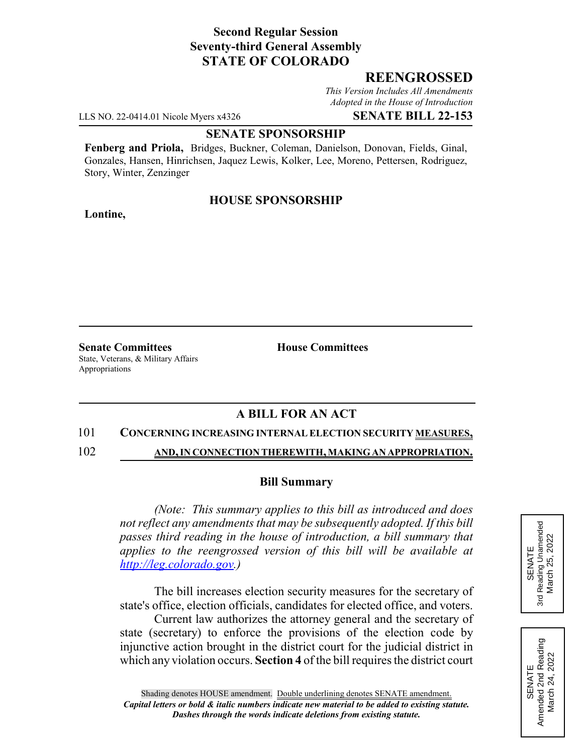# **Second Regular Session Seventy-third General Assembly STATE OF COLORADO**

## **REENGROSSED**

*This Version Includes All Amendments Adopted in the House of Introduction*

LLS NO. 22-0414.01 Nicole Myers x4326 **SENATE BILL 22-153**

### **SENATE SPONSORSHIP**

**Fenberg and Priola,** Bridges, Buckner, Coleman, Danielson, Donovan, Fields, Ginal, Gonzales, Hansen, Hinrichsen, Jaquez Lewis, Kolker, Lee, Moreno, Pettersen, Rodriguez, Story, Winter, Zenzinger

### **HOUSE SPONSORSHIP**

**Lontine,**

**Senate Committees House Committees** State, Veterans, & Military Affairs Appropriations

## **A BILL FOR AN ACT**

### 101 **CONCERNING INCREASING INTERNAL ELECTION SECURITY MEASURES,**

102 **AND, IN CONNECTION THEREWITH, MAKING AN APPROPRIATION.**

#### **Bill Summary**

*(Note: This summary applies to this bill as introduced and does not reflect any amendments that may be subsequently adopted. If this bill passes third reading in the house of introduction, a bill summary that applies to the reengrossed version of this bill will be available at http://leg.colorado.gov.)*

The bill increases election security measures for the secretary of state's office, election officials, candidates for elected office, and voters.

Current law authorizes the attorney general and the secretary of state (secretary) to enforce the provisions of the election code by injunctive action brought in the district court for the judicial district in which any violation occurs. **Section 4** of the bill requires the district court



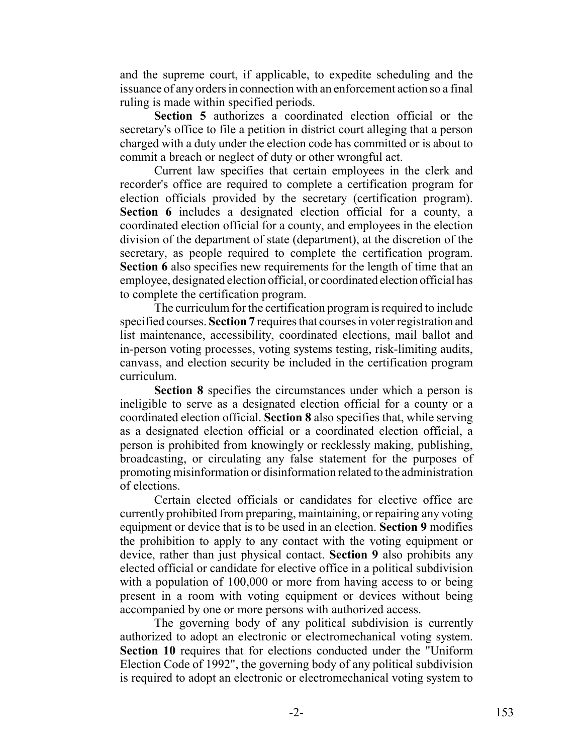and the supreme court, if applicable, to expedite scheduling and the issuance of any orders in connection with an enforcement action so a final ruling is made within specified periods.

**Section 5** authorizes a coordinated election official or the secretary's office to file a petition in district court alleging that a person charged with a duty under the election code has committed or is about to commit a breach or neglect of duty or other wrongful act.

Current law specifies that certain employees in the clerk and recorder's office are required to complete a certification program for election officials provided by the secretary (certification program). **Section 6** includes a designated election official for a county, a coordinated election official for a county, and employees in the election division of the department of state (department), at the discretion of the secretary, as people required to complete the certification program. **Section 6** also specifies new requirements for the length of time that an employee, designated election official, or coordinated election official has to complete the certification program.

The curriculum for the certification program is required to include specified courses. **Section 7** requires that courses in voter registration and list maintenance, accessibility, coordinated elections, mail ballot and in-person voting processes, voting systems testing, risk-limiting audits, canvass, and election security be included in the certification program curriculum.

**Section 8** specifies the circumstances under which a person is ineligible to serve as a designated election official for a county or a coordinated election official. **Section 8** also specifies that, while serving as a designated election official or a coordinated election official, a person is prohibited from knowingly or recklessly making, publishing, broadcasting, or circulating any false statement for the purposes of promoting misinformation or disinformation related to the administration of elections.

Certain elected officials or candidates for elective office are currently prohibited from preparing, maintaining, or repairing any voting equipment or device that is to be used in an election. **Section 9** modifies the prohibition to apply to any contact with the voting equipment or device, rather than just physical contact. **Section 9** also prohibits any elected official or candidate for elective office in a political subdivision with a population of 100,000 or more from having access to or being present in a room with voting equipment or devices without being accompanied by one or more persons with authorized access.

The governing body of any political subdivision is currently authorized to adopt an electronic or electromechanical voting system. **Section 10** requires that for elections conducted under the "Uniform Election Code of 1992", the governing body of any political subdivision is required to adopt an electronic or electromechanical voting system to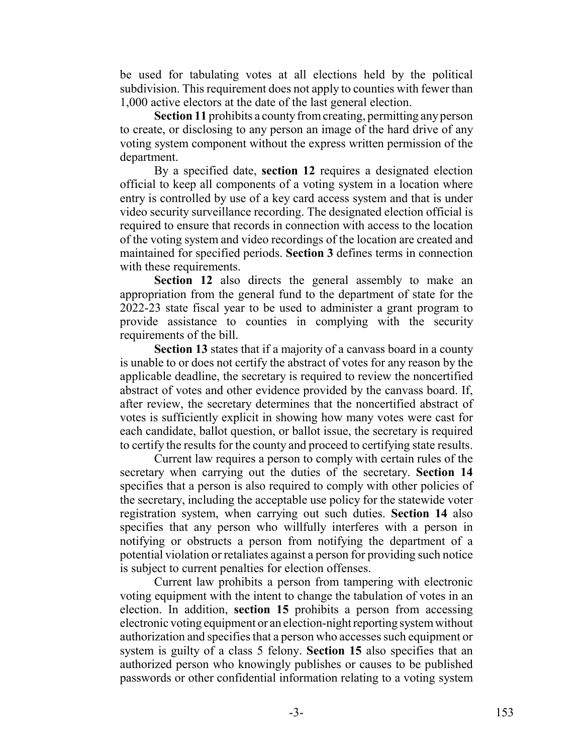be used for tabulating votes at all elections held by the political subdivision. This requirement does not apply to counties with fewer than 1,000 active electors at the date of the last general election.

**Section 11** prohibits a county from creating, permitting any person to create, or disclosing to any person an image of the hard drive of any voting system component without the express written permission of the department.

By a specified date, **section 12** requires a designated election official to keep all components of a voting system in a location where entry is controlled by use of a key card access system and that is under video security surveillance recording. The designated election official is required to ensure that records in connection with access to the location of the voting system and video recordings of the location are created and maintained for specified periods. **Section 3** defines terms in connection with these requirements.

**Section 12** also directs the general assembly to make an appropriation from the general fund to the department of state for the 2022-23 state fiscal year to be used to administer a grant program to provide assistance to counties in complying with the security requirements of the bill.

**Section 13** states that if a majority of a canvass board in a county is unable to or does not certify the abstract of votes for any reason by the applicable deadline, the secretary is required to review the noncertified abstract of votes and other evidence provided by the canvass board. If, after review, the secretary determines that the noncertified abstract of votes is sufficiently explicit in showing how many votes were cast for each candidate, ballot question, or ballot issue, the secretary is required to certify the results for the county and proceed to certifying state results.

Current law requires a person to comply with certain rules of the secretary when carrying out the duties of the secretary. **Section 14** specifies that a person is also required to comply with other policies of the secretary, including the acceptable use policy for the statewide voter registration system, when carrying out such duties. **Section 14** also specifies that any person who willfully interferes with a person in notifying or obstructs a person from notifying the department of a potential violation or retaliates against a person for providing such notice is subject to current penalties for election offenses.

Current law prohibits a person from tampering with electronic voting equipment with the intent to change the tabulation of votes in an election. In addition, **section 15** prohibits a person from accessing electronic voting equipment or an election-night reporting system without authorization and specifies that a person who accesses such equipment or system is guilty of a class 5 felony. **Section 15** also specifies that an authorized person who knowingly publishes or causes to be published passwords or other confidential information relating to a voting system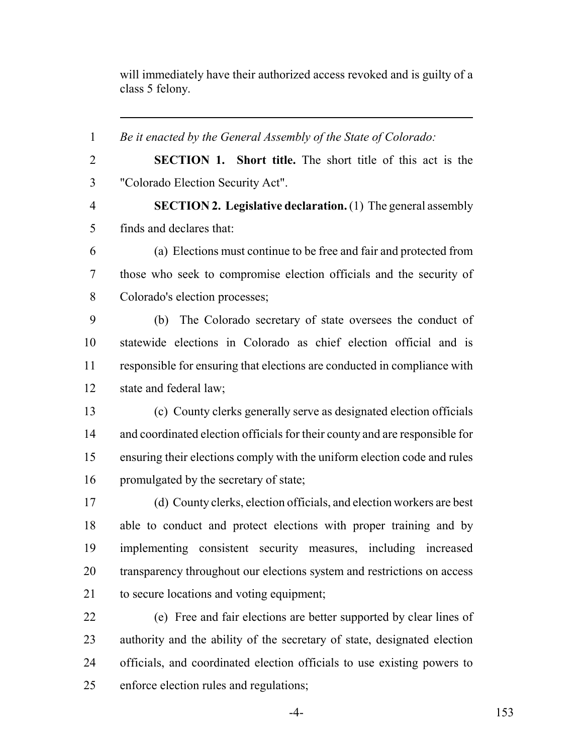will immediately have their authorized access revoked and is guilty of a class 5 felony.

 *Be it enacted by the General Assembly of the State of Colorado:* **SECTION 1. Short title.** The short title of this act is the "Colorado Election Security Act". **SECTION 2. Legislative declaration.** (1) The general assembly finds and declares that: (a) Elections must continue to be free and fair and protected from those who seek to compromise election officials and the security of Colorado's election processes; (b) The Colorado secretary of state oversees the conduct of statewide elections in Colorado as chief election official and is responsible for ensuring that elections are conducted in compliance with state and federal law; (c) County clerks generally serve as designated election officials and coordinated election officials for their county and are responsible for ensuring their elections comply with the uniform election code and rules 16 promulgated by the secretary of state; (d) County clerks, election officials, and election workers are best able to conduct and protect elections with proper training and by implementing consistent security measures, including increased 20 transparency throughout our elections system and restrictions on access to secure locations and voting equipment; (e) Free and fair elections are better supported by clear lines of authority and the ability of the secretary of state, designated election officials, and coordinated election officials to use existing powers to enforce election rules and regulations;

-4- 153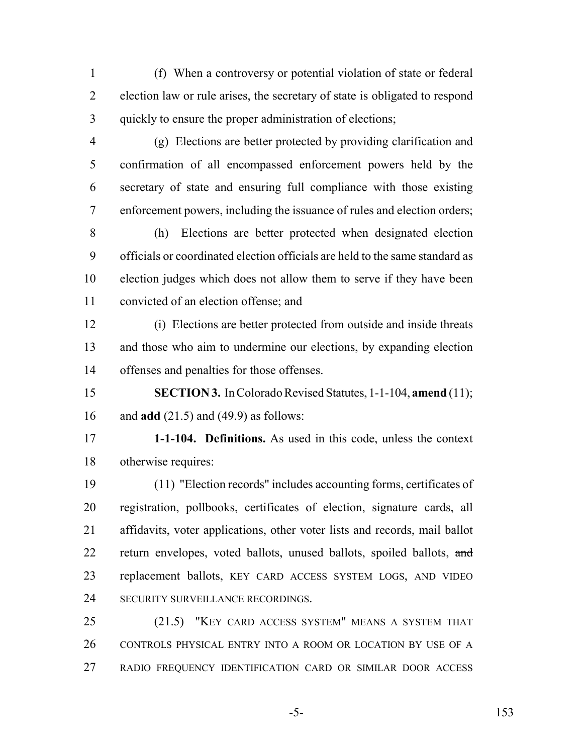(f) When a controversy or potential violation of state or federal election law or rule arises, the secretary of state is obligated to respond quickly to ensure the proper administration of elections;

 (g) Elections are better protected by providing clarification and confirmation of all encompassed enforcement powers held by the secretary of state and ensuring full compliance with those existing enforcement powers, including the issuance of rules and election orders;

 (h) Elections are better protected when designated election officials or coordinated election officials are held to the same standard as election judges which does not allow them to serve if they have been convicted of an election offense; and

 (i) Elections are better protected from outside and inside threats and those who aim to undermine our elections, by expanding election offenses and penalties for those offenses.

 **SECTION 3.** In Colorado Revised Statutes, 1-1-104, **amend** (11); and **add** (21.5) and (49.9) as follows:

 **1-1-104. Definitions.** As used in this code, unless the context otherwise requires:

 (11) "Election records" includes accounting forms, certificates of registration, pollbooks, certificates of election, signature cards, all affidavits, voter applications, other voter lists and records, mail ballot 22 return envelopes, voted ballots, unused ballots, spoiled ballots, and replacement ballots, KEY CARD ACCESS SYSTEM LOGS, AND VIDEO 24 SECURITY SURVEILLANCE RECORDINGS.

 (21.5) "KEY CARD ACCESS SYSTEM" MEANS A SYSTEM THAT CONTROLS PHYSICAL ENTRY INTO A ROOM OR LOCATION BY USE OF A RADIO FREQUENCY IDENTIFICATION CARD OR SIMILAR DOOR ACCESS

-5- 153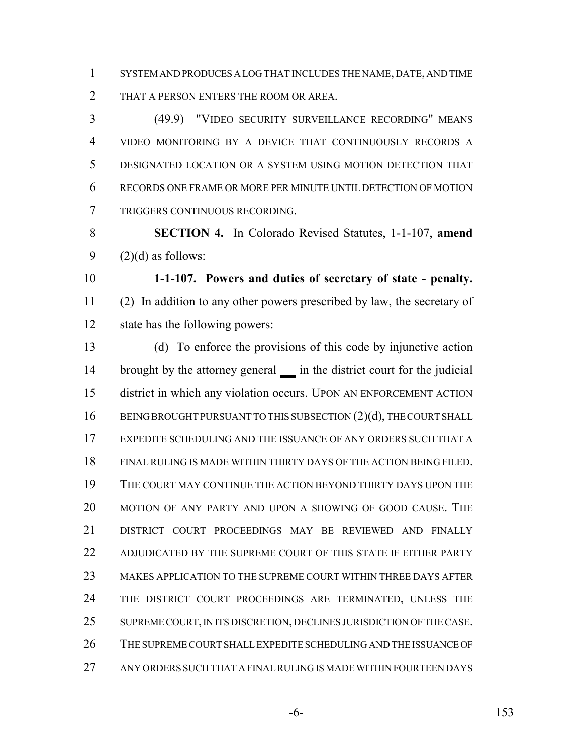SYSTEM AND PRODUCES A LOG THAT INCLUDES THE NAME, DATE, AND TIME THAT A PERSON ENTERS THE ROOM OR AREA.

 (49.9) "VIDEO SECURITY SURVEILLANCE RECORDING" MEANS VIDEO MONITORING BY A DEVICE THAT CONTINUOUSLY RECORDS A DESIGNATED LOCATION OR A SYSTEM USING MOTION DETECTION THAT RECORDS ONE FRAME OR MORE PER MINUTE UNTIL DETECTION OF MOTION TRIGGERS CONTINUOUS RECORDING.

 **SECTION 4.** In Colorado Revised Statutes, 1-1-107, **amend** 9  $(2)(d)$  as follows:

 **1-1-107. Powers and duties of secretary of state - penalty.** (2) In addition to any other powers prescribed by law, the secretary of state has the following powers:

 (d) To enforce the provisions of this code by injunctive action 14 brought by the attorney general in the district court for the judicial district in which any violation occurs. UPON AN ENFORCEMENT ACTION 16 BEING BROUGHT PURSUANT TO THIS SUBSECTION (2)(d), THE COURT SHALL EXPEDITE SCHEDULING AND THE ISSUANCE OF ANY ORDERS SUCH THAT A FINAL RULING IS MADE WITHIN THIRTY DAYS OF THE ACTION BEING FILED. THE COURT MAY CONTINUE THE ACTION BEYOND THIRTY DAYS UPON THE MOTION OF ANY PARTY AND UPON A SHOWING OF GOOD CAUSE. THE DISTRICT COURT PROCEEDINGS MAY BE REVIEWED AND FINALLY 22 ADJUDICATED BY THE SUPREME COURT OF THIS STATE IF EITHER PARTY MAKES APPLICATION TO THE SUPREME COURT WITHIN THREE DAYS AFTER 24 THE DISTRICT COURT PROCEEDINGS ARE TERMINATED, UNLESS THE SUPREME COURT, IN ITS DISCRETION, DECLINES JURISDICTION OF THE CASE. THE SUPREME COURT SHALL EXPEDITE SCHEDULING AND THE ISSUANCE OF ANY ORDERS SUCH THAT A FINAL RULING IS MADE WITHIN FOURTEEN DAYS

-6- 153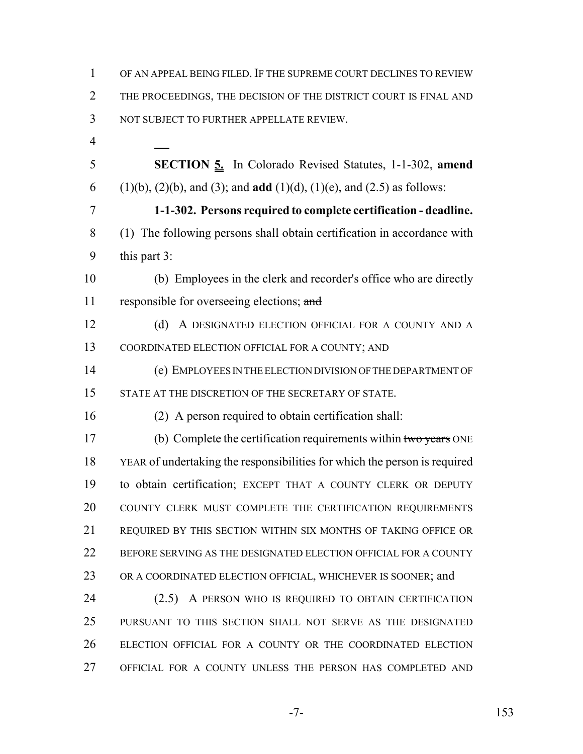| 1              | OF AN APPEAL BEING FILED. IF THE SUPREME COURT DECLINES TO REVIEW                              |
|----------------|------------------------------------------------------------------------------------------------|
| 2              | THE PROCEEDINGS, THE DECISION OF THE DISTRICT COURT IS FINAL AND                               |
| 3              | NOT SUBJECT TO FURTHER APPELLATE REVIEW.                                                       |
| $\overline{4}$ |                                                                                                |
| 5              | <b>SECTION 5.</b> In Colorado Revised Statutes, 1-1-302, amend                                 |
| 6              | $(1)(b)$ , $(2)(b)$ , and $(3)$ ; and <b>add</b> $(1)(d)$ , $(1)(e)$ , and $(2.5)$ as follows: |
| 7              | 1-1-302. Persons required to complete certification - deadline.                                |
| 8              | (1) The following persons shall obtain certification in accordance with                        |
| 9              | this part 3:                                                                                   |
| 10             | (b) Employees in the clerk and recorder's office who are directly                              |
| 11             | responsible for overseeing elections; and                                                      |
| 12             | A DESIGNATED ELECTION OFFICIAL FOR A COUNTY AND A<br>(d)                                       |
| 13             | COORDINATED ELECTION OFFICIAL FOR A COUNTY; AND                                                |
| 14             | (e) EMPLOYEES IN THE ELECTION DIVISION OF THE DEPARTMENT OF                                    |
| 15             | STATE AT THE DISCRETION OF THE SECRETARY OF STATE.                                             |
| 16             | (2) A person required to obtain certification shall:                                           |
| 17             | (b) Complete the certification requirements within two years ONE                               |
| 18             | YEAR of undertaking the responsibilities for which the person is required                      |
| 19             | to obtain certification; EXCEPT THAT A COUNTY CLERK OR DEPUTY                                  |
| 20             | COUNTY CLERK MUST COMPLETE THE CERTIFICATION REQUIREMENTS                                      |
| 21             | REQUIRED BY THIS SECTION WITHIN SIX MONTHS OF TAKING OFFICE OR                                 |
| 22             | BEFORE SERVING AS THE DESIGNATED ELECTION OFFICIAL FOR A COUNTY                                |
| 23             | OR A COORDINATED ELECTION OFFICIAL, WHICHEVER IS SOONER; and                                   |
| 24             | (2.5) A PERSON WHO IS REQUIRED TO OBTAIN CERTIFICATION                                         |
| 25             | PURSUANT TO THIS SECTION SHALL NOT SERVE AS THE DESIGNATED                                     |
| 26             | ELECTION OFFICIAL FOR A COUNTY OR THE COORDINATED ELECTION                                     |
| 27             | OFFICIAL FOR A COUNTY UNLESS THE PERSON HAS COMPLETED AND                                      |

-7- 153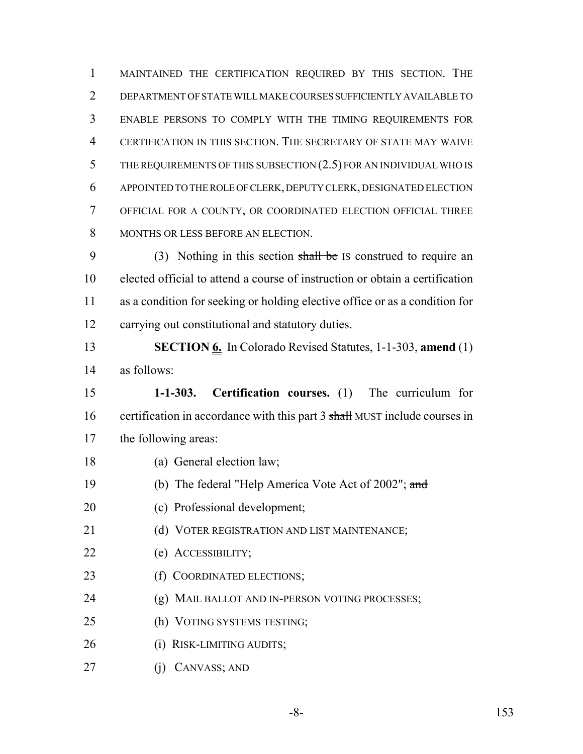MAINTAINED THE CERTIFICATION REQUIRED BY THIS SECTION. THE DEPARTMENT OF STATE WILL MAKE COURSES SUFFICIENTLY AVAILABLE TO ENABLE PERSONS TO COMPLY WITH THE TIMING REQUIREMENTS FOR CERTIFICATION IN THIS SECTION. THE SECRETARY OF STATE MAY WAIVE 5 THE REQUIREMENTS OF THIS SUBSECTION (2.5) FOR AN INDIVIDUAL WHO IS APPOINTED TO THE ROLE OF CLERK, DEPUTY CLERK, DESIGNATED ELECTION OFFICIAL FOR A COUNTY, OR COORDINATED ELECTION OFFICIAL THREE 8 MONTHS OR LESS BEFORE AN ELECTION.

9 (3) Nothing in this section shall be IS construed to require an elected official to attend a course of instruction or obtain a certification as a condition for seeking or holding elective office or as a condition for 12 carrying out constitutional and statutory duties.

 **SECTION 6.** In Colorado Revised Statutes, 1-1-303, **amend** (1) as follows:

 **1-1-303. Certification courses.** (1) The curriculum for 16 certification in accordance with this part 3 shall MUST include courses in the following areas:

- (a) General election law;
- 19 (b) The federal "Help America Vote Act of 2002"; and
- (c) Professional development;
- 21 (d) VOTER REGISTRATION AND LIST MAINTENANCE;
- (e) ACCESSIBILITY;
- 23 (f) COORDINATED ELECTIONS;
- 24 (g) MAIL BALLOT AND IN-PERSON VOTING PROCESSES;
- (h) VOTING SYSTEMS TESTING;
- (i) RISK-LIMITING AUDITS;
- (j) CANVASS; AND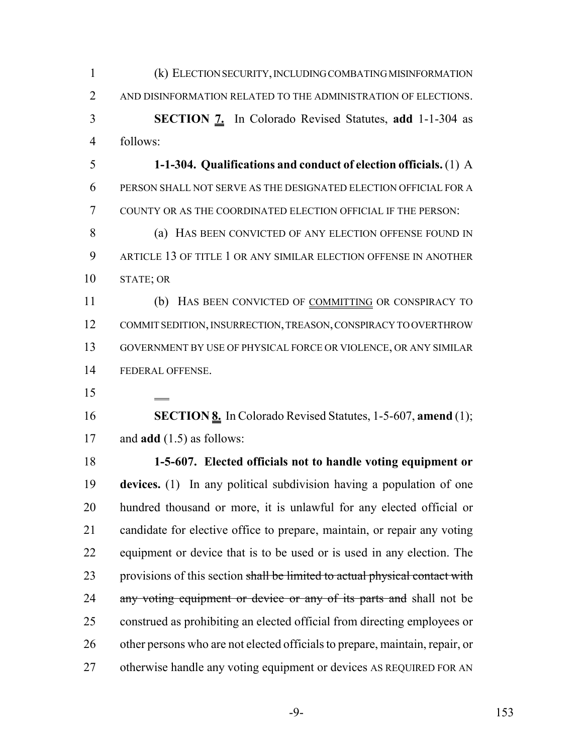| $\mathbf{1}$   | (k) ELECTION SECURITY, INCLUDING COMBATING MISINFORMATION                    |
|----------------|------------------------------------------------------------------------------|
| 2              | AND DISINFORMATION RELATED TO THE ADMINISTRATION OF ELECTIONS.               |
| 3              | <b>SECTION 7.</b> In Colorado Revised Statutes, add 1-1-304 as               |
| $\overline{4}$ | follows:                                                                     |
| 5              | 1-1-304. Qualifications and conduct of election officials. (1) A             |
| 6              | PERSON SHALL NOT SERVE AS THE DESIGNATED ELECTION OFFICIAL FOR A             |
| 7              | COUNTY OR AS THE COORDINATED ELECTION OFFICIAL IF THE PERSON:                |
| 8              | (a) HAS BEEN CONVICTED OF ANY ELECTION OFFENSE FOUND IN                      |
| 9              | ARTICLE 13 OF TITLE 1 OR ANY SIMILAR ELECTION OFFENSE IN ANOTHER             |
| 10             | STATE; OR                                                                    |
| 11             | (b) HAS BEEN CONVICTED OF COMMITTING OR CONSPIRACY TO                        |
| 12             | COMMIT SEDITION, INSURRECTION, TREASON, CONSPIRACY TO OVERTHROW              |
| 13             | GOVERNMENT BY USE OF PHYSICAL FORCE OR VIOLENCE, OR ANY SIMILAR              |
| 14             | FEDERAL OFFENSE.                                                             |
| 15             |                                                                              |
| 16             | <b>SECTION 8.</b> In Colorado Revised Statutes, 1-5-607, amend (1);          |
|                |                                                                              |
| 17             | and $add(1.5)$ as follows:                                                   |
| 18             | 1-5-607. Elected officials not to handle voting equipment or                 |
| 19             | devices. (1) In any political subdivision having a population of one         |
| 20             | hundred thousand or more, it is unlawful for any elected official or         |
| 21             | candidate for elective office to prepare, maintain, or repair any voting     |
| 22             | equipment or device that is to be used or is used in any election. The       |
| 23             | provisions of this section shall be limited to actual physical contact with  |
| 24             | any voting equipment or device or any of its parts and shall not be          |
| 25             | construed as prohibiting an elected official from directing employees or     |
| 26             | other persons who are not elected officials to prepare, maintain, repair, or |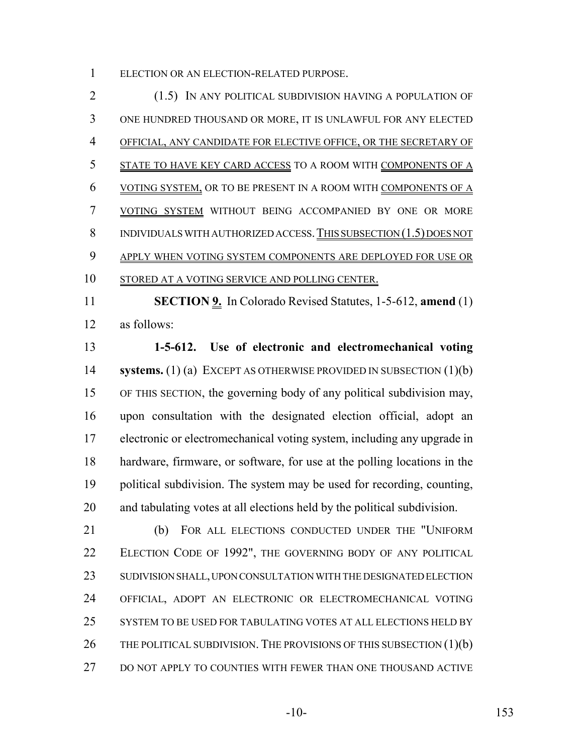ELECTION OR AN ELECTION-RELATED PURPOSE.

 (1.5) IN ANY POLITICAL SUBDIVISION HAVING A POPULATION OF ONE HUNDRED THOUSAND OR MORE, IT IS UNLAWFUL FOR ANY ELECTED OFFICIAL, ANY CANDIDATE FOR ELECTIVE OFFICE, OR THE SECRETARY OF STATE TO HAVE KEY CARD ACCESS TO A ROOM WITH COMPONENTS OF A VOTING SYSTEM, OR TO BE PRESENT IN A ROOM WITH COMPONENTS OF A VOTING SYSTEM WITHOUT BEING ACCOMPANIED BY ONE OR MORE 8 INDIVIDUALS WITH AUTHORIZED ACCESS. THIS SUBSECTION (1.5) DOES NOT 9 APPLY WHEN VOTING SYSTEM COMPONENTS ARE DEPLOYED FOR USE OR STORED AT A VOTING SERVICE AND POLLING CENTER.

 **SECTION 9.** In Colorado Revised Statutes, 1-5-612, **amend** (1) as follows:

 **1-5-612. Use of electronic and electromechanical voting systems.** (1) (a) EXCEPT AS OTHERWISE PROVIDED IN SUBSECTION (1)(b) OF THIS SECTION, the governing body of any political subdivision may, upon consultation with the designated election official, adopt an electronic or electromechanical voting system, including any upgrade in hardware, firmware, or software, for use at the polling locations in the political subdivision. The system may be used for recording, counting, and tabulating votes at all elections held by the political subdivision.

 (b) FOR ALL ELECTIONS CONDUCTED UNDER THE "UNIFORM 22 ELECTION CODE OF 1992", THE GOVERNING BODY OF ANY POLITICAL SUDIVISION SHALL, UPON CONSULTATION WITH THE DESIGNATED ELECTION OFFICIAL, ADOPT AN ELECTRONIC OR ELECTROMECHANICAL VOTING SYSTEM TO BE USED FOR TABULATING VOTES AT ALL ELECTIONS HELD BY 26 THE POLITICAL SUBDIVISION. THE PROVISIONS OF THIS SUBSECTION  $(1)(b)$ 27 DO NOT APPLY TO COUNTIES WITH FEWER THAN ONE THOUSAND ACTIVE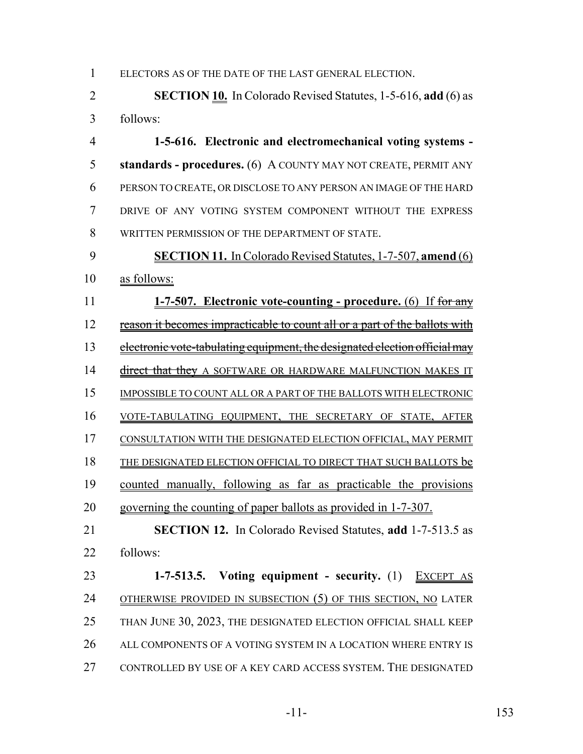ELECTORS AS OF THE DATE OF THE LAST GENERAL ELECTION.

 **SECTION 10.** In Colorado Revised Statutes, 1-5-616, **add** (6) as follows:

 **1-5-616. Electronic and electromechanical voting systems - standards - procedures.** (6) A COUNTY MAY NOT CREATE, PERMIT ANY PERSON TO CREATE, OR DISCLOSE TO ANY PERSON AN IMAGE OF THE HARD DRIVE OF ANY VOTING SYSTEM COMPONENT WITHOUT THE EXPRESS WRITTEN PERMISSION OF THE DEPARTMENT OF STATE.

 **SECTION 11.** In Colorado Revised Statutes, 1-7-507, **amend** (6) as follows:

 **1-7-507. Electronic vote-counting - procedure.** (6) If for any 12 reason it becomes impracticable to count all or a part of the ballots with 13 electronic vote-tabulating equipment, the designated election official may 14 direct that they A SOFTWARE OR HARDWARE MALFUNCTION MAKES IT IMPOSSIBLE TO COUNT ALL OR A PART OF THE BALLOTS WITH ELECTRONIC VOTE-TABULATING EQUIPMENT, THE SECRETARY OF STATE, AFTER CONSULTATION WITH THE DESIGNATED ELECTION OFFICIAL, MAY PERMIT THE DESIGNATED ELECTION OFFICIAL TO DIRECT THAT SUCH BALLOTS be counted manually, following as far as practicable the provisions governing the counting of paper ballots as provided in 1-7-307. **SECTION 12.** In Colorado Revised Statutes, **add** 1-7-513.5 as follows:

 **1-7-513.5. Voting equipment - security.** (1) EXCEPT AS OTHERWISE PROVIDED IN SUBSECTION (5) OF THIS SECTION, NO LATER THAN JUNE 30, 2023, THE DESIGNATED ELECTION OFFICIAL SHALL KEEP 26 ALL COMPONENTS OF A VOTING SYSTEM IN A LOCATION WHERE ENTRY IS CONTROLLED BY USE OF A KEY CARD ACCESS SYSTEM. THE DESIGNATED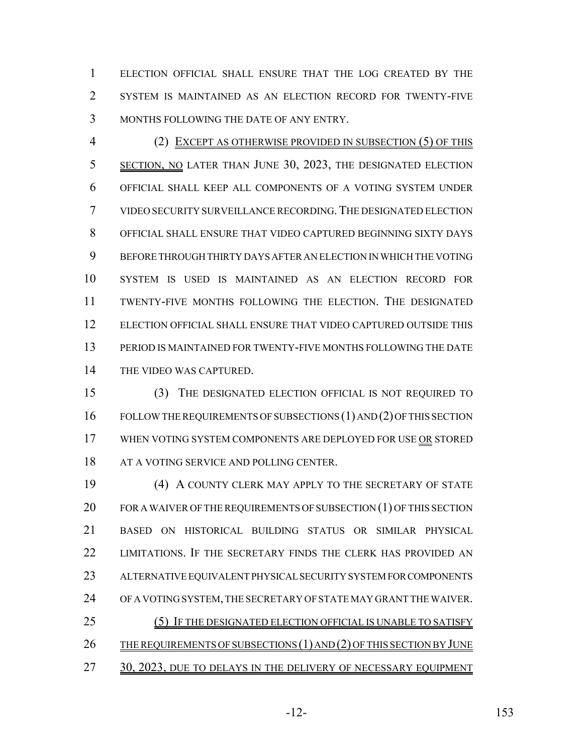ELECTION OFFICIAL SHALL ENSURE THAT THE LOG CREATED BY THE SYSTEM IS MAINTAINED AS AN ELECTION RECORD FOR TWENTY-FIVE MONTHS FOLLOWING THE DATE OF ANY ENTRY.

 (2) EXCEPT AS OTHERWISE PROVIDED IN SUBSECTION (5) OF THIS SECTION, NO LATER THAN JUNE 30, 2023, THE DESIGNATED ELECTION OFFICIAL SHALL KEEP ALL COMPONENTS OF A VOTING SYSTEM UNDER VIDEO SECURITY SURVEILLANCE RECORDING.THE DESIGNATED ELECTION OFFICIAL SHALL ENSURE THAT VIDEO CAPTURED BEGINNING SIXTY DAYS BEFORE THROUGH THIRTY DAYS AFTER AN ELECTION IN WHICH THE VOTING SYSTEM IS USED IS MAINTAINED AS AN ELECTION RECORD FOR TWENTY-FIVE MONTHS FOLLOWING THE ELECTION. THE DESIGNATED ELECTION OFFICIAL SHALL ENSURE THAT VIDEO CAPTURED OUTSIDE THIS PERIOD IS MAINTAINED FOR TWENTY-FIVE MONTHS FOLLOWING THE DATE THE VIDEO WAS CAPTURED.

 (3) THE DESIGNATED ELECTION OFFICIAL IS NOT REQUIRED TO FOLLOW THE REQUIREMENTS OF SUBSECTIONS (1) AND (2) OF THIS SECTION 17 WHEN VOTING SYSTEM COMPONENTS ARE DEPLOYED FOR USE OR STORED 18 AT A VOTING SERVICE AND POLLING CENTER.

 (4) A COUNTY CLERK MAY APPLY TO THE SECRETARY OF STATE 20 FOR A WAIVER OF THE REQUIREMENTS OF SUBSECTION  $(1)$  OF THIS SECTION BASED ON HISTORICAL BUILDING STATUS OR SIMILAR PHYSICAL LIMITATIONS. IF THE SECRETARY FINDS THE CLERK HAS PROVIDED AN ALTERNATIVE EQUIVALENT PHYSICAL SECURITY SYSTEM FOR COMPONENTS OF A VOTING SYSTEM, THE SECRETARY OF STATE MAY GRANT THE WAIVER. 25 (5) IF THE DESIGNATED ELECTION OFFICIAL IS UNABLE TO SATISFY 26 THE REQUIREMENTS OF SUBSECTIONS (1) AND (2) OF THIS SECTION BY JUNE 27 30, 2023, DUE TO DELAYS IN THE DELIVERY OF NECESSARY EQUIPMENT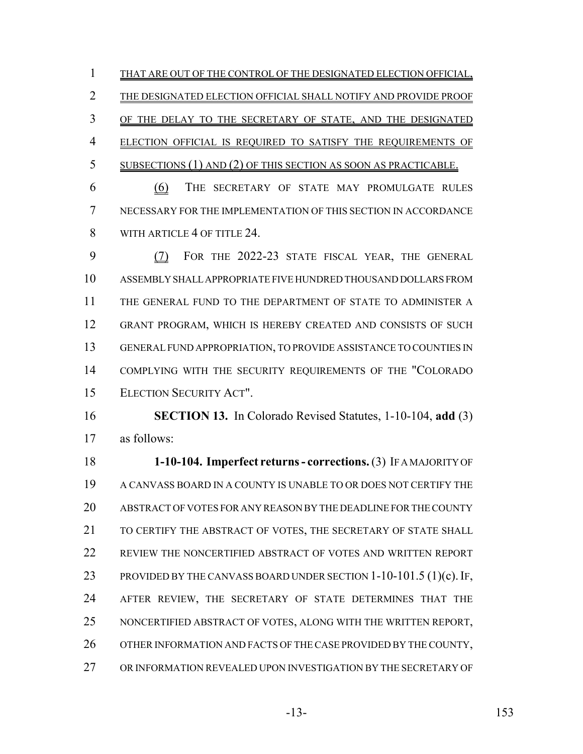THAT ARE OUT OF THE CONTROL OF THE DESIGNATED ELECTION OFFICIAL, THE DESIGNATED ELECTION OFFICIAL SHALL NOTIFY AND PROVIDE PROOF 3 OF THE DELAY TO THE SECRETARY OF STATE, AND THE DESIGNATED 4 ELECTION OFFICIAL IS REQUIRED TO SATISFY THE REQUIREMENTS OF SUBSECTIONS (1) AND (2) OF THIS SECTION AS SOON AS PRACTICABLE.

 (6) THE SECRETARY OF STATE MAY PROMULGATE RULES NECESSARY FOR THE IMPLEMENTATION OF THIS SECTION IN ACCORDANCE 8 WITH ARTICLE 4 OF TITLE 24.

 (7) FOR THE 2022-23 STATE FISCAL YEAR, THE GENERAL ASSEMBLY SHALL APPROPRIATE FIVE HUNDRED THOUSAND DOLLARS FROM THE GENERAL FUND TO THE DEPARTMENT OF STATE TO ADMINISTER A GRANT PROGRAM, WHICH IS HEREBY CREATED AND CONSISTS OF SUCH GENERAL FUND APPROPRIATION, TO PROVIDE ASSISTANCE TO COUNTIES IN COMPLYING WITH THE SECURITY REQUIREMENTS OF THE "COLORADO ELECTION SECURITY ACT".

 **SECTION 13.** In Colorado Revised Statutes, 1-10-104, **add** (3) as follows:

 **1-10-104. Imperfect returns - corrections.** (3) IF A MAJORITY OF A CANVASS BOARD IN A COUNTY IS UNABLE TO OR DOES NOT CERTIFY THE ABSTRACT OF VOTES FOR ANY REASON BY THE DEADLINE FOR THE COUNTY TO CERTIFY THE ABSTRACT OF VOTES, THE SECRETARY OF STATE SHALL REVIEW THE NONCERTIFIED ABSTRACT OF VOTES AND WRITTEN REPORT 23 PROVIDED BY THE CANVASS BOARD UNDER SECTION 1-10-101.5 (1)(c). IF, AFTER REVIEW, THE SECRETARY OF STATE DETERMINES THAT THE NONCERTIFIED ABSTRACT OF VOTES, ALONG WITH THE WRITTEN REPORT, OTHER INFORMATION AND FACTS OF THE CASE PROVIDED BY THE COUNTY, OR INFORMATION REVEALED UPON INVESTIGATION BY THE SECRETARY OF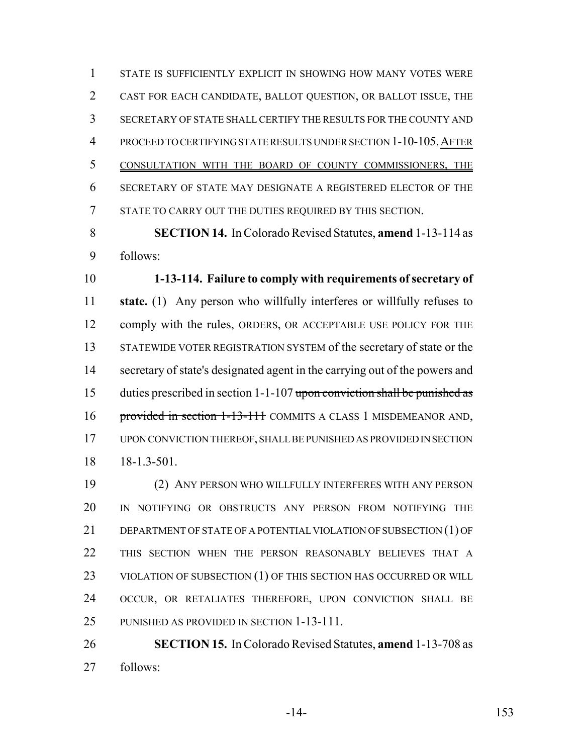STATE IS SUFFICIENTLY EXPLICIT IN SHOWING HOW MANY VOTES WERE CAST FOR EACH CANDIDATE, BALLOT QUESTION, OR BALLOT ISSUE, THE SECRETARY OF STATE SHALL CERTIFY THE RESULTS FOR THE COUNTY AND PROCEED TO CERTIFYING STATE RESULTS UNDER SECTION 1-10-105.AFTER CONSULTATION WITH THE BOARD OF COUNTY COMMISSIONERS, THE SECRETARY OF STATE MAY DESIGNATE A REGISTERED ELECTOR OF THE STATE TO CARRY OUT THE DUTIES REQUIRED BY THIS SECTION.

 **SECTION 14.** In Colorado Revised Statutes, **amend** 1-13-114 as follows:

 **1-13-114. Failure to comply with requirements of secretary of state.** (1) Any person who willfully interferes or willfully refuses to 12 comply with the rules, ORDERS, OR ACCEPTABLE USE POLICY FOR THE STATEWIDE VOTER REGISTRATION SYSTEM of the secretary of state or the secretary of state's designated agent in the carrying out of the powers and 15 duties prescribed in section 1-1-107 upon conviction shall be punished as 16 provided in section 1-13-111 COMMITS A CLASS 1 MISDEMEANOR AND, UPON CONVICTION THEREOF, SHALL BE PUNISHED AS PROVIDED IN SECTION 18-1.3-501.

 (2) ANY PERSON WHO WILLFULLY INTERFERES WITH ANY PERSON IN NOTIFYING OR OBSTRUCTS ANY PERSON FROM NOTIFYING THE DEPARTMENT OF STATE OF A POTENTIAL VIOLATION OF SUBSECTION (1) OF THIS SECTION WHEN THE PERSON REASONABLY BELIEVES THAT A 23 VIOLATION OF SUBSECTION (1) OF THIS SECTION HAS OCCURRED OR WILL OCCUR, OR RETALIATES THEREFORE, UPON CONVICTION SHALL BE PUNISHED AS PROVIDED IN SECTION 1-13-111.

 **SECTION 15.** In Colorado Revised Statutes, **amend** 1-13-708 as follows:

-14- 153